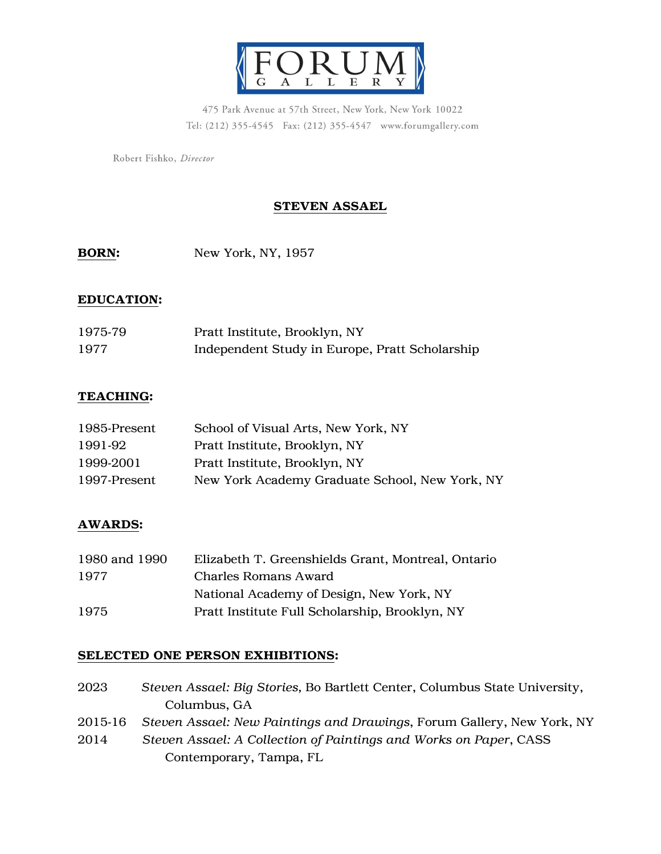

475 Park Avenue at 57th Street, New York, New York 10022 Tel: (212) 355-4545 Fax: (212) 355-4547 www.forumgallery.com

Robert Fishko, Director

## STEVEN ASSAEL

BORN: New York, NY, 1957

#### EDUCATION:

| 1975-79 | Pratt Institute, Brooklyn, NY                  |
|---------|------------------------------------------------|
| 1977    | Independent Study in Europe, Pratt Scholarship |

### TEACHING:

| 1985-Present | School of Visual Arts, New York, NY            |
|--------------|------------------------------------------------|
| 1991-92      | Pratt Institute, Brooklyn, NY                  |
| 1999-2001    | Pratt Institute, Brooklyn, NY                  |
| 1997-Present | New York Academy Graduate School, New York, NY |

## AWARDS:

| 1980 and 1990 | Elizabeth T. Greenshields Grant, Montreal, Ontario |
|---------------|----------------------------------------------------|
| 1977          | <b>Charles Romans Award</b>                        |
|               | National Academy of Design, New York, NY           |
| 1975          | Pratt Institute Full Scholarship, Brooklyn, NY     |

#### SELECTED ONE PERSON EXHIBITIONS:

2023 *Steven Assael: Big Stories,* Bo Bartlett Center, Columbus State University, Columbus, GA 2015-16 *Steven Assael: New Paintings and Drawings*, Forum Gallery, New York, NY 2014 *Steven Assael: A Collection of Paintings and Works on Paper*, CASS Contemporary, Tampa, FL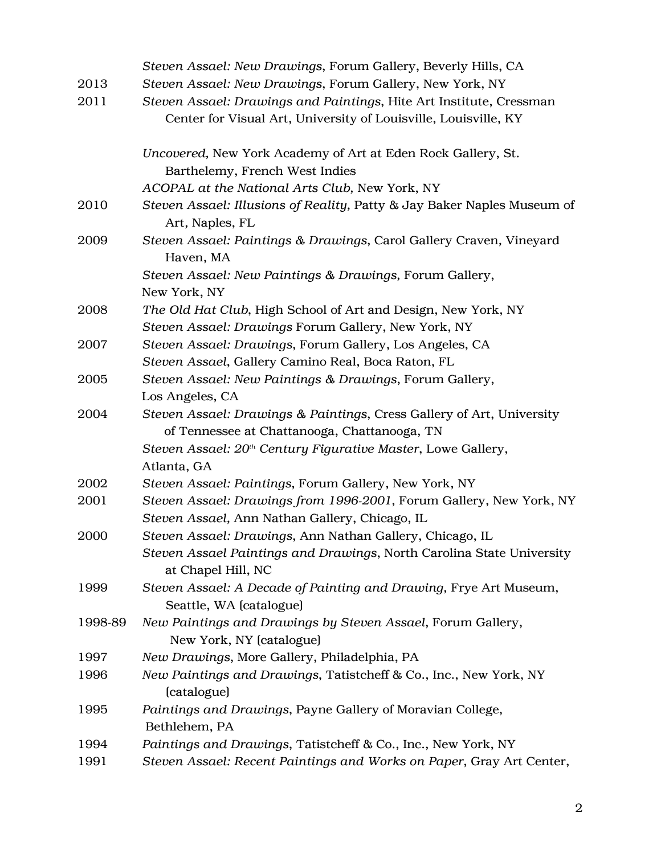|         | Steven Assael: New Drawings, Forum Gallery, Beverly Hills, CA                                |
|---------|----------------------------------------------------------------------------------------------|
| 2013    | Steven Assael: New Drawings, Forum Gallery, New York, NY                                     |
| 2011    | Steven Assael: Drawings and Paintings, Hite Art Institute, Cressman                          |
|         | Center for Visual Art, University of Louisville, Louisville, KY                              |
|         | Uncovered, New York Academy of Art at Eden Rock Gallery, St.                                 |
|         | Barthelemy, French West Indies                                                               |
|         | ACOPAL at the National Arts Club, New York, NY                                               |
| 2010    | Steven Assael: Illusions of Reality, Patty & Jay Baker Naples Museum of<br>Art, Naples, FL   |
| 2009    | Steven Assael: Paintings & Drawings, Carol Gallery Craven, Vineyard<br>Haven, MA             |
|         | Steven Assael: New Paintings & Drawings, Forum Gallery,                                      |
|         | New York, NY                                                                                 |
| 2008    | The Old Hat Club, High School of Art and Design, New York, NY                                |
|         | Steven Assael: Drawings Forum Gallery, New York, NY                                          |
| 2007    | Steven Assael: Drawings, Forum Gallery, Los Angeles, CA                                      |
|         | Steven Assael, Gallery Camino Real, Boca Raton, FL                                           |
| 2005    | Steven Assael: New Paintings & Drawings, Forum Gallery,                                      |
|         | Los Angeles, CA                                                                              |
| 2004    | Steven Assael: Drawings & Paintings, Cress Gallery of Art, University                        |
|         | of Tennessee at Chattanooga, Chattanooga, TN                                                 |
|         | Steven Assael: 20 <sup>th</sup> Century Figurative Master, Lowe Gallery,                     |
|         | Atlanta, GA                                                                                  |
| 2002    | Steven Assael: Paintings, Forum Gallery, New York, NY                                        |
| 2001    | Steven Assael: Drawings from 1996-2001, Forum Gallery, New York, NY                          |
|         | Steven Assael, Ann Nathan Gallery, Chicago, IL                                               |
| 2000    | Steven Assael: Drawings, Ann Nathan Gallery, Chicago, IL                                     |
|         | Steven Assael Paintings and Drawings, North Carolina State University<br>at Chapel Hill, NC  |
| 1999    | Steven Assael: A Decade of Painting and Drawing, Frye Art Museum,<br>Seattle, WA (catalogue) |
| 1998-89 | New Paintings and Drawings by Steven Assael, Forum Gallery,<br>New York, NY (catalogue)      |
| 1997    | New Drawings, More Gallery, Philadelphia, PA                                                 |
| 1996    | New Paintings and Drawings, Tatistcheff & Co., Inc., New York, NY<br>(catalogue)             |
| 1995    | Paintings and Drawings, Payne Gallery of Moravian College,                                   |
|         | Bethlehem, PA                                                                                |
| 1994    | Paintings and Drawings, Tatistcheff & Co., Inc., New York, NY                                |
| 1991    | Steven Assael: Recent Paintings and Works on Paper, Gray Art Center,                         |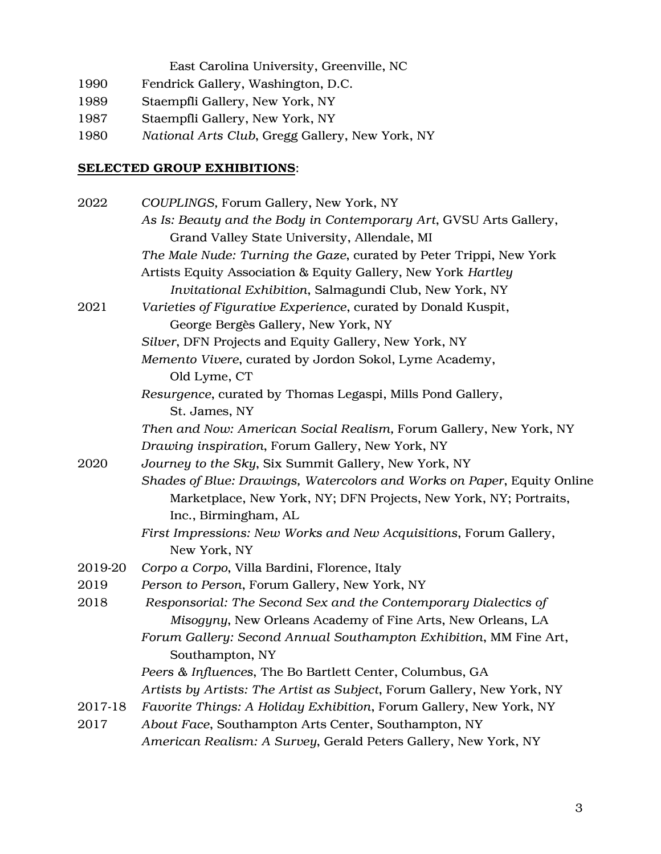East Carolina University, Greenville, NC

- 1990 Fendrick Gallery, Washington, D.C.
- 1989 Staempfli Gallery, New York, NY
- 1987 Staempfli Gallery, New York, NY
- 1980 *National Arts Club*, Gregg Gallery, New York, NY

# SELECTED GROUP EXHIBITIONS:

| 2022    | COUPLINGS, Forum Gallery, New York, NY                                  |
|---------|-------------------------------------------------------------------------|
|         | As Is: Beauty and the Body in Contemporary Art, GVSU Arts Gallery,      |
|         | Grand Valley State University, Allendale, MI                            |
|         | The Male Nude: Turning the Gaze, curated by Peter Trippi, New York      |
|         | Artists Equity Association & Equity Gallery, New York Hartley           |
|         | Invitational Exhibition, Salmagundi Club, New York, NY                  |
| 2021    | Varieties of Figurative Experience, curated by Donald Kuspit,           |
|         | George Bergès Gallery, New York, NY                                     |
|         | Silver, DFN Projects and Equity Gallery, New York, NY                   |
|         | Memento Vivere, curated by Jordon Sokol, Lyme Academy,                  |
|         | Old Lyme, CT                                                            |
|         | Resurgence, curated by Thomas Legaspi, Mills Pond Gallery,              |
|         | St. James, NY                                                           |
|         | Then and Now: American Social Realism, Forum Gallery, New York, NY      |
|         | Drawing inspiration, Forum Gallery, New York, NY                        |
| 2020    | Journey to the Sky, Six Summit Gallery, New York, NY                    |
|         | Shades of Blue: Drawings, Watercolors and Works on Paper, Equity Online |
|         | Marketplace, New York, NY; DFN Projects, New York, NY; Portraits,       |
|         | Inc., Birmingham, AL                                                    |
|         | First Impressions: New Works and New Acquisitions, Forum Gallery,       |
|         | New York, NY                                                            |
| 2019-20 | Corpo a Corpo, Villa Bardini, Florence, Italy                           |
| 2019    | Person to Person, Forum Gallery, New York, NY                           |
| 2018    | Responsorial: The Second Sex and the Contemporary Dialectics of         |
|         | Misogyny, New Orleans Academy of Fine Arts, New Orleans, LA             |
|         | Forum Gallery: Second Annual Southampton Exhibition, MM Fine Art,       |
|         | Southampton, NY                                                         |
|         | Peers & Influences, The Bo Bartlett Center, Columbus, GA                |
|         | Artists by Artists: The Artist as Subject, Forum Gallery, New York, NY  |
| 2017-18 | Favorite Things: A Holiday Exhibition, Forum Gallery, New York, NY      |
| 2017    | About Face, Southampton Arts Center, Southampton, NY                    |
|         | American Realism: A Survey, Gerald Peters Gallery, New York, NY         |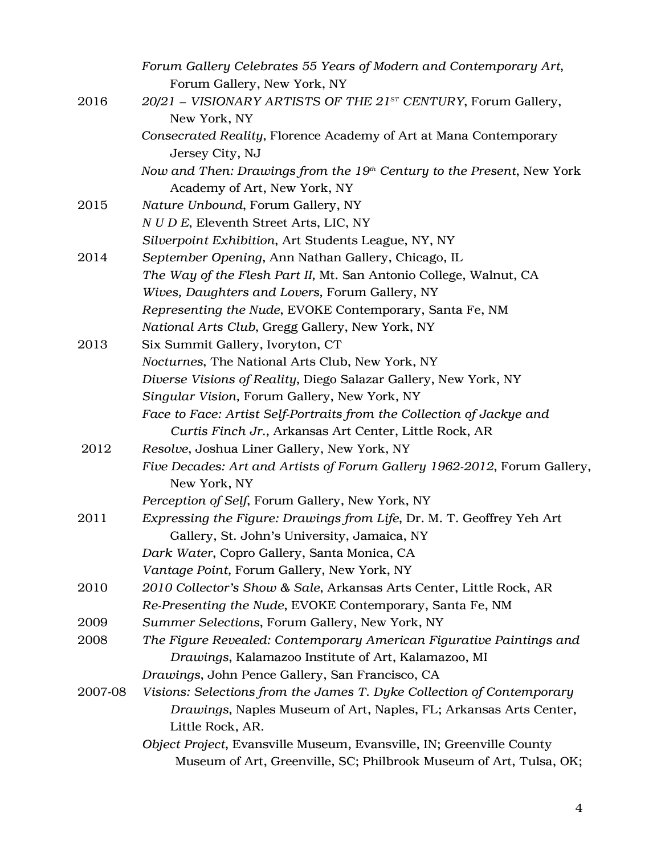|         | Forum Gallery Celebrates 55 Years of Modern and Contemporary Art,        |
|---------|--------------------------------------------------------------------------|
|         | Forum Gallery, New York, NY                                              |
| 2016    | $20/21$ – VISIONARY ARTISTS OF THE $21^{sr}$ CENTURY, Forum Gallery,     |
|         | New York, NY                                                             |
|         | Consecrated Reality, Florence Academy of Art at Mana Contemporary        |
|         | Jersey City, NJ                                                          |
|         | Now and Then: Drawings from the $19th$ Century to the Present, New York  |
|         | Academy of Art, New York, NY                                             |
| 2015    | Nature Unbound, Forum Gallery, NY                                        |
|         | N U D E, Eleventh Street Arts, LIC, NY                                   |
|         | Silverpoint Exhibition, Art Students League, NY, NY                      |
| 2014    | September Opening, Ann Nathan Gallery, Chicago, IL                       |
|         | The Way of the Flesh Part II, Mt. San Antonio College, Walnut, CA        |
|         | Wives, Daughters and Lovers, Forum Gallery, NY                           |
|         | Representing the Nude, EVOKE Contemporary, Santa Fe, NM                  |
|         | National Arts Club, Gregg Gallery, New York, NY                          |
| 2013    | Six Summit Gallery, Ivoryton, CT                                         |
|         | Nocturnes, The National Arts Club, New York, NY                          |
|         | Diverse Visions of Reality, Diego Salazar Gallery, New York, NY          |
|         | Singular Vision, Forum Gallery, New York, NY                             |
|         | Face to Face: Artist Self-Portraits from the Collection of Jackye and    |
|         | Curtis Finch Jr., Arkansas Art Center, Little Rock, AR                   |
| 2012    | Resolve, Joshua Liner Gallery, New York, NY                              |
|         | Five Decades: Art and Artists of Forum Gallery 1962-2012, Forum Gallery, |
|         | New York, NY                                                             |
|         | Perception of Self, Forum Gallery, New York, NY                          |
| 2011    | Expressing the Figure: Drawings from Life, Dr. M. T. Geoffrey Yeh Art    |
|         | Gallery, St. John's University, Jamaica, NY                              |
|         | Dark Water, Copro Gallery, Santa Monica, CA                              |
|         | Vantage Point, Forum Gallery, New York, NY                               |
| 2010    | 2010 Collector's Show & Sale, Arkansas Arts Center, Little Rock, AR      |
|         | Re-Presenting the Nude, EVOKE Contemporary, Santa Fe, NM                 |
| 2009    | Summer Selections, Forum Gallery, New York, NY                           |
| 2008    | The Figure Revealed: Contemporary American Figurative Paintings and      |
|         | Drawings, Kalamazoo Institute of Art, Kalamazoo, MI                      |
|         | Drawings, John Pence Gallery, San Francisco, CA                          |
| 2007-08 | Visions: Selections from the James T. Dyke Collection of Contemporary    |
|         | Drawings, Naples Museum of Art, Naples, FL; Arkansas Arts Center,        |
|         | Little Rock, AR.                                                         |
|         | Object Project, Evansville Museum, Evansville, IN; Greenville County     |
|         | Museum of Art, Greenville, SC; Philbrook Museum of Art, Tulsa, OK;       |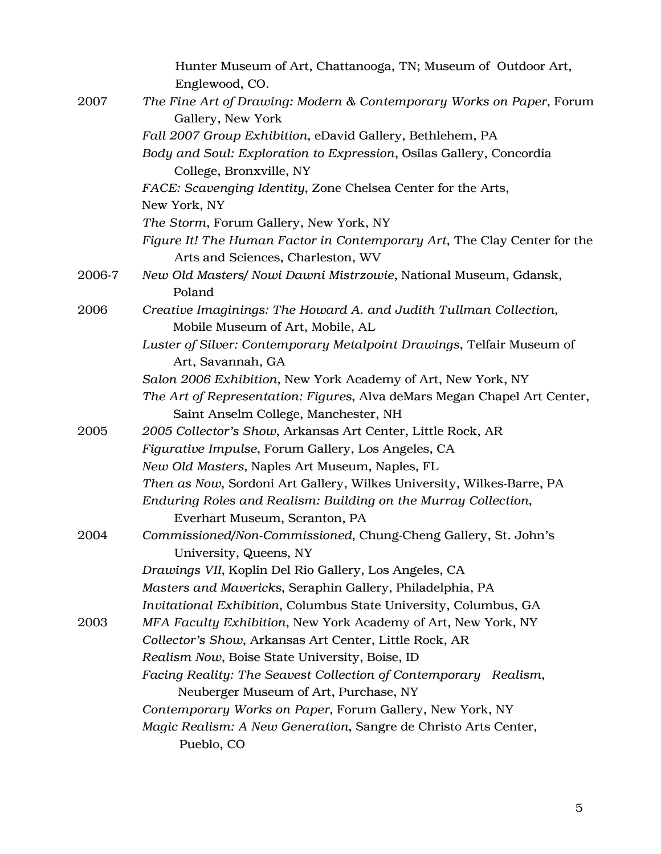|        | Hunter Museum of Art, Chattanooga, TN; Museum of Outdoor Art,<br>Englewood, CO.                               |
|--------|---------------------------------------------------------------------------------------------------------------|
| 2007   | The Fine Art of Drawing: Modern & Contemporary Works on Paper, Forum                                          |
|        | Gallery, New York                                                                                             |
|        | Fall 2007 Group Exhibition, eDavid Gallery, Bethlehem, PA                                                     |
|        | Body and Soul: Exploration to Expression, Osilas Gallery, Concordia<br>College, Bronxville, NY                |
|        | FACE: Scavenging Identity, Zone Chelsea Center for the Arts,                                                  |
|        | New York, NY                                                                                                  |
|        | The Storm, Forum Gallery, New York, NY                                                                        |
|        | Figure It! The Human Factor in Contemporary Art, The Clay Center for the<br>Arts and Sciences, Charleston, WV |
| 2006-7 | New Old Masters/ Nowi Dawni Mistrzowie, National Museum, Gdansk,                                              |
|        | Poland                                                                                                        |
| 2006   | Creative Imaginings: The Howard A. and Judith Tullman Collection,                                             |
|        | Mobile Museum of Art, Mobile, AL                                                                              |
|        | Luster of Silver: Contemporary Metalpoint Drawings, Telfair Museum of                                         |
|        | Art, Savannah, GA                                                                                             |
|        | Salon 2006 Exhibition, New York Academy of Art, New York, NY                                                  |
|        | The Art of Representation: Figures, Alva deMars Megan Chapel Art Center,                                      |
|        | Saint Anselm College, Manchester, NH                                                                          |
| 2005   | 2005 Collector's Show, Arkansas Art Center, Little Rock, AR                                                   |
|        | Figurative Impulse, Forum Gallery, Los Angeles, CA                                                            |
|        | New Old Masters, Naples Art Museum, Naples, FL                                                                |
|        | Then as Now, Sordoni Art Gallery, Wilkes University, Wilkes-Barre, PA                                         |
|        | Enduring Roles and Realism: Building on the Murray Collection,                                                |
|        | Everhart Museum, Scranton, PA                                                                                 |
| 2004   | Commissioned/Non-Commissioned, Chung-Cheng Gallery, St. John's<br>University, Queens, NY                      |
|        | Drawings VII, Koplin Del Rio Gallery, Los Angeles, CA                                                         |
|        | Masters and Mavericks, Seraphin Gallery, Philadelphia, PA                                                     |
|        | Invitational Exhibition, Columbus State University, Columbus, GA                                              |
| 2003   | MFA Faculty Exhibition, New York Academy of Art, New York, NY                                                 |
|        | Collector's Show, Arkansas Art Center, Little Rock, AR                                                        |
|        | Realism Now, Boise State University, Boise, ID                                                                |
|        | Facing Reality: The Seavest Collection of Contemporary Realism,                                               |
|        | Neuberger Museum of Art, Purchase, NY                                                                         |
|        | Contemporary Works on Paper, Forum Gallery, New York, NY                                                      |
|        | Magic Realism: A New Generation, Sangre de Christo Arts Center,<br>Pueblo, CO                                 |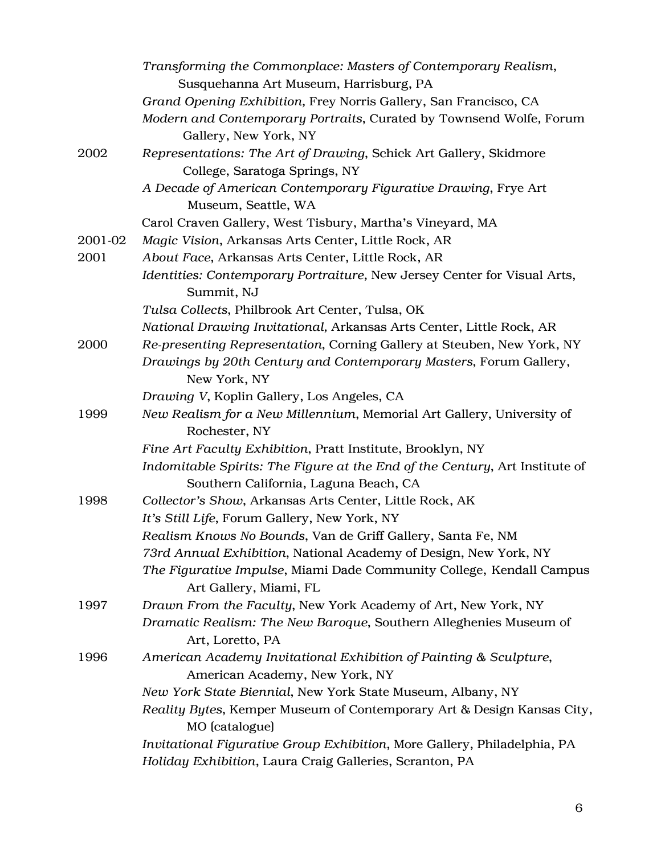|         | Transforming the Commonplace: Masters of Contemporary Realism,                                                       |
|---------|----------------------------------------------------------------------------------------------------------------------|
|         | Susquehanna Art Museum, Harrisburg, PA                                                                               |
|         | Grand Opening Exhibition, Frey Norris Gallery, San Francisco, CA                                                     |
|         | Modern and Contemporary Portraits, Curated by Townsend Wolfe, Forum<br>Gallery, New York, NY                         |
| 2002    | Representations: The Art of Drawing, Schick Art Gallery, Skidmore                                                    |
|         | College, Saratoga Springs, NY                                                                                        |
|         | A Decade of American Contemporary Figurative Drawing, Frye Art<br>Museum, Seattle, WA                                |
|         | Carol Craven Gallery, West Tisbury, Martha's Vineyard, MA                                                            |
| 2001-02 | Magic Vision, Arkansas Arts Center, Little Rock, AR                                                                  |
| 2001    | About Face, Arkansas Arts Center, Little Rock, AR                                                                    |
|         | Identities: Contemporary Portraiture, New Jersey Center for Visual Arts,<br>Summit, NJ                               |
|         | Tulsa Collects, Philbrook Art Center, Tulsa, OK                                                                      |
|         | National Drawing Invitational, Arkansas Arts Center, Little Rock, AR                                                 |
| 2000    | Re-presenting Representation, Corning Gallery at Steuben, New York, NY                                               |
|         | Drawings by 20th Century and Contemporary Masters, Forum Gallery,<br>New York, NY                                    |
|         | Drawing V, Koplin Gallery, Los Angeles, CA                                                                           |
| 1999    | New Realism for a New Millennium, Memorial Art Gallery, University of<br>Rochester, NY                               |
|         | Fine Art Faculty Exhibition, Pratt Institute, Brooklyn, NY                                                           |
|         | Indomitable Spirits: The Figure at the End of the Century, Art Institute of<br>Southern California, Laguna Beach, CA |
| 1998    | Collector's Show, Arkansas Arts Center, Little Rock, AK                                                              |
|         | It's Still Life, Forum Gallery, New York, NY                                                                         |
|         | Realism Knows No Bounds, Van de Griff Gallery, Santa Fe, NM                                                          |
|         | 73rd Annual Exhibition, National Academy of Design, New York, NY                                                     |
|         | The Figurative Impulse, Miami Dade Community College, Kendall Campus<br>Art Gallery, Miami, FL                       |
| 1997    | Drawn From the Faculty, New York Academy of Art, New York, NY                                                        |
|         | Dramatic Realism: The New Baroque, Southern Alleghenies Museum of<br>Art, Loretto, PA                                |
| 1996    | American Academy Invitational Exhibition of Painting & Sculpture,<br>American Academy, New York, NY                  |
|         | New York State Biennial, New York State Museum, Albany, NY                                                           |
|         | Reality Bytes, Kemper Museum of Contemporary Art & Design Kansas City,<br>MO (catalogue)                             |
|         | Invitational Figurative Group Exhibition, More Gallery, Philadelphia, PA                                             |
|         | Holiday Exhibition, Laura Craig Galleries, Scranton, PA                                                              |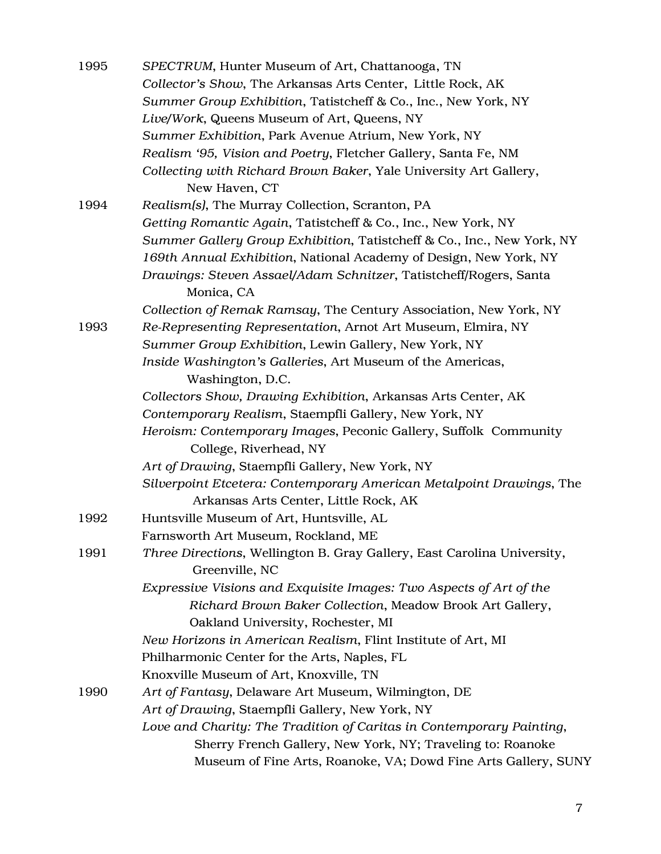| 1995 | SPECTRUM, Hunter Museum of Art, Chattanooga, TN                                 |
|------|---------------------------------------------------------------------------------|
|      | Collector's Show, The Arkansas Arts Center, Little Rock, AK                     |
|      | Summer Group Exhibition, Tatistcheff & Co., Inc., New York, NY                  |
|      | Live/Work, Queens Museum of Art, Queens, NY                                     |
|      | Summer Exhibition, Park Avenue Atrium, New York, NY                             |
|      | Realism '95, Vision and Poetry, Fletcher Gallery, Santa Fe, NM                  |
|      | Collecting with Richard Brown Baker, Yale University Art Gallery,               |
|      | New Haven, CT                                                                   |
| 1994 | Realism(s), The Murray Collection, Scranton, PA                                 |
|      | Getting Romantic Again, Tatistcheff & Co., Inc., New York, NY                   |
|      | Summer Gallery Group Exhibition, Tatistcheff & Co., Inc., New York, NY          |
|      | 169th Annual Exhibition, National Academy of Design, New York, NY               |
|      | Drawings: Steven Assael/Adam Schnitzer, Tatistcheff/Rogers, Santa<br>Monica, CA |
|      | Collection of Remak Ramsay, The Century Association, New York, NY               |
| 1993 | Re-Representing Representation, Arnot Art Museum, Elmira, NY                    |
|      | Summer Group Exhibition, Lewin Gallery, New York, NY                            |
|      | Inside Washington's Galleries, Art Museum of the Americas,                      |
|      | Washington, D.C.                                                                |
|      | Collectors Show, Drawing Exhibition, Arkansas Arts Center, AK                   |
|      | Contemporary Realism, Staempfli Gallery, New York, NY                           |
|      | Heroism: Contemporary Images, Peconic Gallery, Suffolk Community                |
|      | College, Riverhead, NY                                                          |
|      | Art of Drawing, Staempfli Gallery, New York, NY                                 |
|      | Silverpoint Etcetera: Contemporary American Metalpoint Drawings, The            |
|      | Arkansas Arts Center, Little Rock, AK                                           |
| 1992 | Huntsville Museum of Art, Huntsville, AL                                        |
|      | Farnsworth Art Museum, Rockland, ME                                             |
| 1991 | Three Directions, Wellington B. Gray Gallery, East Carolina University,         |
|      | Greenville, NC                                                                  |
|      | Expressive Visions and Exquisite Images: Two Aspects of Art of the              |
|      | Richard Brown Baker Collection, Meadow Brook Art Gallery,                       |
|      | Oakland University, Rochester, MI                                               |
|      | New Horizons in American Realism, Flint Institute of Art, MI                    |
|      | Philharmonic Center for the Arts, Naples, FL                                    |
|      | Knoxville Museum of Art, Knoxville, TN                                          |
| 1990 | Art of Fantasy, Delaware Art Museum, Wilmington, DE                             |
|      | Art of Drawing, Staempfli Gallery, New York, NY                                 |
|      | Love and Charity: The Tradition of Caritas in Contemporary Painting,            |
|      | Sherry French Gallery, New York, NY; Traveling to: Roanoke                      |
|      | Museum of Fine Arts, Roanoke, VA; Dowd Fine Arts Gallery, SUNY                  |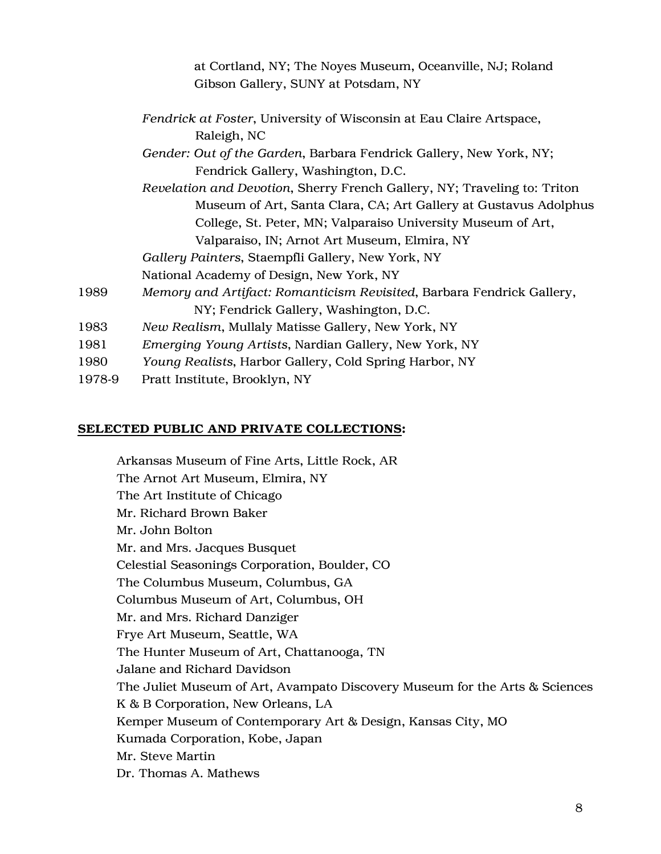|        | at Cortland, NY; The Noyes Museum, Oceanville, NJ; Roland                |
|--------|--------------------------------------------------------------------------|
|        | Gibson Gallery, SUNY at Potsdam, NY                                      |
|        | Fendrick at Foster, University of Wisconsin at Eau Claire Artspace,      |
|        | Raleigh, NC                                                              |
|        | Gender: Out of the Garden, Barbara Fendrick Gallery, New York, NY;       |
|        | Fendrick Gallery, Washington, D.C.                                       |
|        | Revelation and Devotion, Sherry French Gallery, NY; Traveling to: Triton |
|        | Museum of Art, Santa Clara, CA; Art Gallery at Gustavus Adolphus         |
|        | College, St. Peter, MN; Valparaiso University Museum of Art,             |
|        | Valparaiso, IN; Arnot Art Museum, Elmira, NY                             |
|        | Gallery Painters, Staempfli Gallery, New York, NY                        |
|        | National Academy of Design, New York, NY                                 |
| 1989   | Memory and Artifact: Romanticism Revisited, Barbara Fendrick Gallery,    |
|        | NY; Fendrick Gallery, Washington, D.C.                                   |
| 1983   | New Realism, Mullaly Matisse Gallery, New York, NY                       |
| 1981   | Emerging Young Artists, Nardian Gallery, New York, NY                    |
| 1980   | Young Realists, Harbor Gallery, Cold Spring Harbor, NY                   |
| 1978-9 | Pratt Institute, Brooklyn, NY                                            |

#### SELECTED PUBLIC AND PRIVATE COLLECTIONS:

Arkansas Museum of Fine Arts, Little Rock, AR The Arnot Art Museum, Elmira, NY The Art Institute of Chicago Mr. Richard Brown Baker Mr. John Bolton Mr. and Mrs. Jacques Busquet Celestial Seasonings Corporation, Boulder, CO The Columbus Museum, Columbus, GA Columbus Museum of Art, Columbus, OH Mr. and Mrs. Richard Danziger Frye Art Museum, Seattle, WA The Hunter Museum of Art, Chattanooga, TN Jalane and Richard Davidson The Juliet Museum of Art, Avampato Discovery Museum for the Arts & Sciences K & B Corporation, New Orleans, LA Kemper Museum of Contemporary Art & Design, Kansas City, MO Kumada Corporation, Kobe, Japan Mr. Steve Martin Dr. Thomas A. Mathews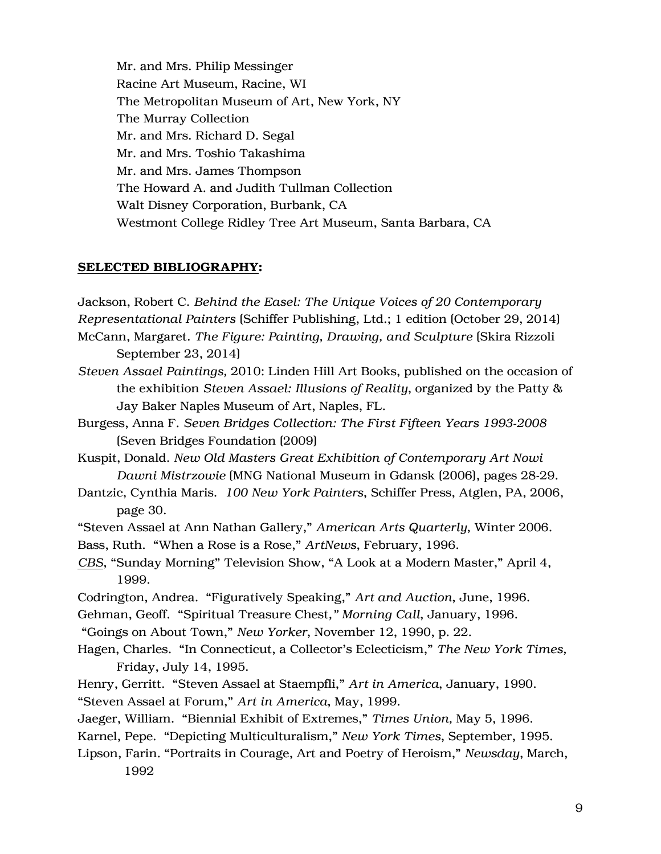Mr. and Mrs. Philip Messinger Racine Art Museum, Racine, WI The Metropolitan Museum of Art, New York, NY The Murray Collection Mr. and Mrs. Richard D. Segal Mr. and Mrs. Toshio Takashima Mr. and Mrs. James Thompson The Howard A. and Judith Tullman Collection Walt Disney Corporation, Burbank, CA Westmont College Ridley Tree Art Museum, Santa Barbara, CA

#### SELECTED BIBLIOGRAPHY:

Jackson, Robert C. *Behind the Easel: The Unique Voices of 20 Contemporary Representational Painters* (Schiffer Publishing, Ltd.; 1 edition (October 29, 2014) McCann, Margaret. *The Figure: Painting, Drawing, and Sculpture* (Skira Rizzoli September 23, 2014)

- *Steven Assael Paintings,* 2010: Linden Hill Art Books, published on the occasion of the exhibition *Steven Assael: Illusions of Reality*, organized by the Patty & Jay Baker Naples Museum of Art, Naples, FL.
- Burgess, Anna F. *Seven Bridges Collection: The First Fifteen Years 1993-2008* (Seven Bridges Foundation (2009)
- Kuspit, Donald. *New Old Masters Great Exhibition of Contemporary Art Nowi Dawni Mistrzowie* (MNG National Museum in Gdansk (2006), pages 28-29.
- Dantzic, Cynthia Maris. *100 New York Painters*, Schiffer Press, Atglen, PA, 2006, page 30.
- "Steven Assael at Ann Nathan Gallery," *American Arts Quarterly*, Winter 2006.

Bass, Ruth. "When a Rose is a Rose," *ArtNews*, February, 1996.

- *CBS*, "Sunday Morning" Television Show, "A Look at a Modern Master," April 4, 1999.
- Codrington, Andrea. "Figuratively Speaking," *Art and Auction*, June, 1996.
- Gehman, Geoff. "Spiritual Treasure Chest*," Morning Call*, January, 1996.
- "Goings on About Town," *New Yorker*, November 12, 1990, p. 22.
- Hagen, Charles. "In Connecticut, a Collector's Eclecticism," *The New York Times,* Friday, July 14, 1995.
- Henry, Gerritt. "Steven Assael at Staempfli," *Art in America*, January, 1990. "Steven Assael at Forum," *Art in America*, May, 1999.
- Jaeger, William. "Biennial Exhibit of Extremes," *Times Union,* May 5, 1996.
- Karnel, Pepe. "Depicting Multiculturalism," *New York Times*, September, 1995.
- Lipson, Farin. "Portraits in Courage, Art and Poetry of Heroism," *Newsday*, March, 1992